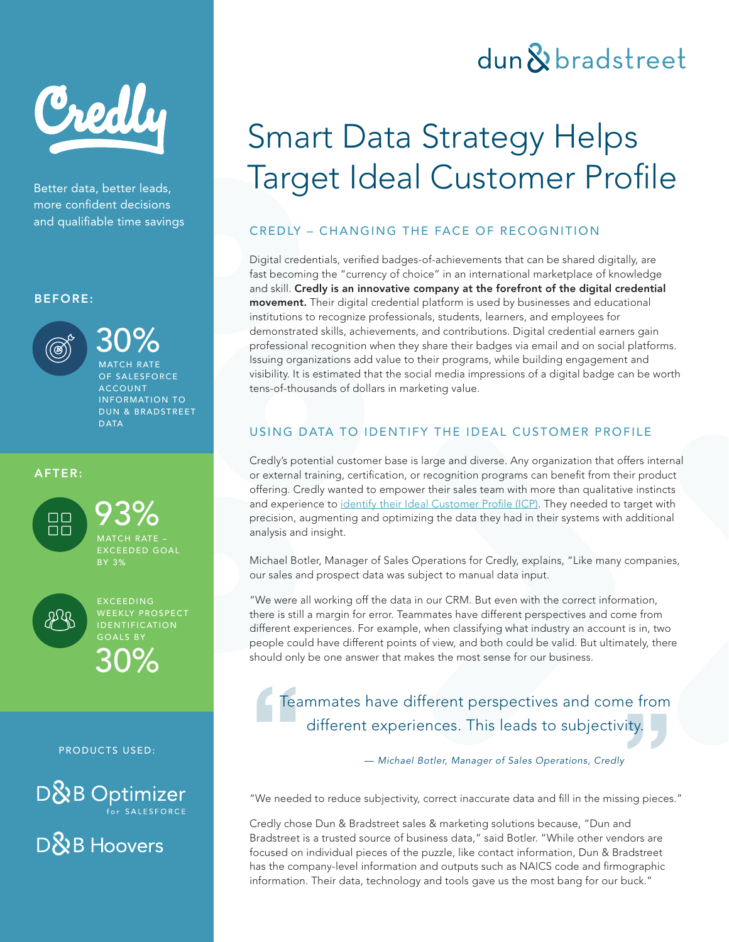

Better data, better leads, more confident decisions

### BEFORE:



30% MATCH RATE OF SALESFORCE **ACCOUNT** 

INFORMATION TO DUN & BRADSTREET DATA

### AFTER:



93% MATCH RATE – EXCEEDED GOAL BY 3%



30% EXCEEDING WEEKLY PROSPECT IDENTIFICATION GOALS BY

#### PRODUCTS USED:

 $D\&B$  Optimizer

D&B Hoovers

## dun & bradstreet

# Smart Data Strategy Helps Target Ideal Customer Profile

### and qualifiable time savings The CREDLY – CHANGING THE FACE OF RECOGNITION

Digital credentials, verified badges-of-achievements that can be shared digitally, are fast becoming the "currency of choice" in an international marketplace of knowledge and skill. Credly is an innovative company at the forefront of the digital credential movement. Their digital credential platform is used by businesses and educational institutions to recognize professionals, students, learners, and employees for demonstrated skills, achievements, and contributions. Digital credential earners gain professional recognition when they share their badges via email and on social platforms. Issuing organizations add value to their programs, while building engagement and visibility. It is estimated that the social media impressions of a digital badge can be worth tens-of-thousands of dollars in marketing value.

### USING DATA TO IDENTIFY THE IDEAL CUSTOMER PROFILE

Credly's potential customer base is large and diverse. Any organization that offers internal or external training, certification, or recognition programs can benefit from their product offering. Credly wanted to empower their sales team with more than qualitative instincts and experience to [identify their Ideal Customer Profile \(ICP\).](https://www.dnb.com/solutions/marketing-sales/analyze-identify-ideal-customer-profiles.html) They needed to target with precision, augmenting and optimizing the data they had in their systems with additional analysis and insight.

Michael Botler, Manager of Sales Operations for Credly, explains, "Like many companies, our sales and prospect data was subject to manual data input.

"We were all working off the data in our CRM. But even with the correct information, there is still a margin for error. Teammates have different perspectives and come from different experiences. For example, when classifying what industry an account is in, two people could have different points of view, and both could be valid. But ultimately, there should only be one answer that makes the most sense for our business.

### **Teammates have different perspectives and com<br>different experiences. This leads to subjectiv<br>— Michael Botler, Manager of Sales Operations, Credly<br><sup>200</sup>0 were also as the subject in equal in equal to such the subject of e** from<br>ty. Teammates have different perspectives and come from different experiences. This leads to subjectivity.

"We needed to reduce subjectivity, correct inaccurate data and fill in the missing pieces."

Credly chose Dun & Bradstreet sales & marketing solutions because, "Dun and Bradstreet is a trusted source of business data," said Botler. "While other vendors are focused on individual pieces of the puzzle, like contact information, Dun & Bradstreet has the company-level information and outputs such as NAICS code and firmographic information. Their data, technology and tools gave us the most bang for our buck."